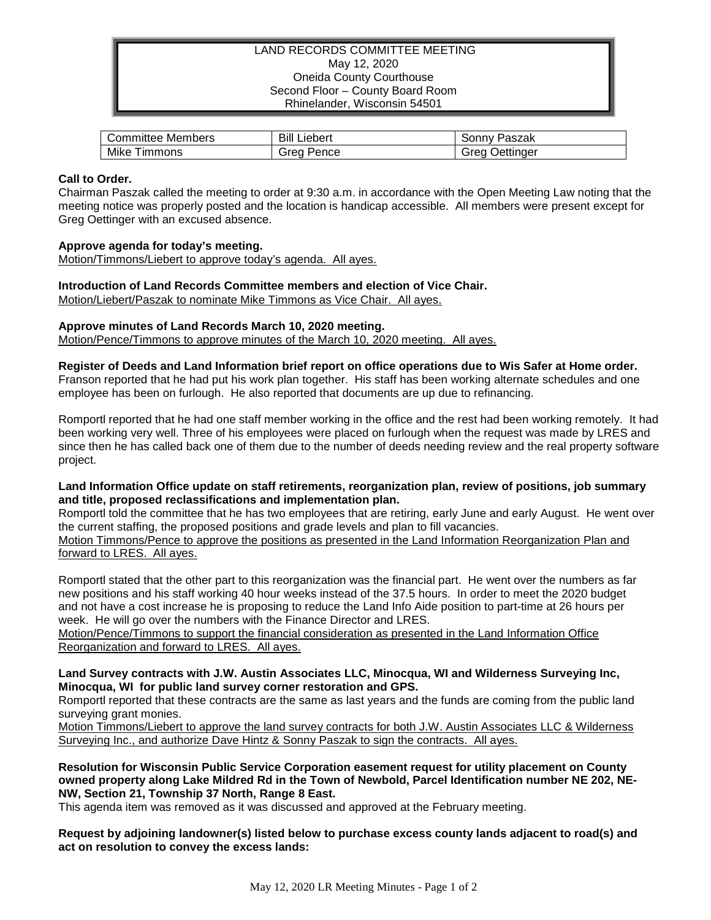## LAND RECORDS COMMITTEE MEETING May 12, 2020 Oneida County Courthouse Second Floor – County Board Room Rhinelander, Wisconsin 54501

| Committee Members     | Bill<br>Liebert | Paszak<br>.onnvد  |
|-----------------------|-----------------|-------------------|
| Mike<br><b>Immons</b> | Grea<br>Pence   | Jettinaer<br>Grea |

### **Call to Order.**

Chairman Paszak called the meeting to order at 9:30 a.m. in accordance with the Open Meeting Law noting that the meeting notice was properly posted and the location is handicap accessible. All members were present except for Greg Oettinger with an excused absence.

#### **Approve agenda for today's meeting.**

Motion/Timmons/Liebert to approve today's agenda. All ayes.

**Introduction of Land Records Committee members and election of Vice Chair.**

Motion/Liebert/Paszak to nominate Mike Timmons as Vice Chair. All ayes.

## **Approve minutes of Land Records March 10, 2020 meeting.**

Motion/Pence/Timmons to approve minutes of the March 10, 2020 meeting. All ayes.

**Register of Deeds and Land Information brief report on office operations due to Wis Safer at Home order.** Franson reported that he had put his work plan together. His staff has been working alternate schedules and one employee has been on furlough. He also reported that documents are up due to refinancing.

Romportl reported that he had one staff member working in the office and the rest had been working remotely. It had been working very well. Three of his employees were placed on furlough when the request was made by LRES and since then he has called back one of them due to the number of deeds needing review and the real property software project.

### **Land Information Office update on staff retirements, reorganization plan, review of positions, job summary and title, proposed reclassifications and implementation plan.**

Romportl told the committee that he has two employees that are retiring, early June and early August. He went over the current staffing, the proposed positions and grade levels and plan to fill vacancies.

Motion Timmons/Pence to approve the positions as presented in the Land Information Reorganization Plan and forward to LRES. All ayes.

Romportl stated that the other part to this reorganization was the financial part. He went over the numbers as far new positions and his staff working 40 hour weeks instead of the 37.5 hours. In order to meet the 2020 budget and not have a cost increase he is proposing to reduce the Land Info Aide position to part-time at 26 hours per week. He will go over the numbers with the Finance Director and LRES.

Motion/Pence/Timmons to support the financial consideration as presented in the Land Information Office Reorganization and forward to LRES. All ayes.

### **Land Survey contracts with J.W. Austin Associates LLC, Minocqua, WI and Wilderness Surveying Inc, Minocqua, WI for public land survey corner restoration and GPS.**

Romportl reported that these contracts are the same as last years and the funds are coming from the public land surveying grant monies.

Motion Timmons/Liebert to approve the land survey contracts for both J.W. Austin Associates LLC & Wilderness Surveying Inc., and authorize Dave Hintz & Sonny Paszak to sign the contracts. All ayes.

**Resolution for Wisconsin Public Service Corporation easement request for utility placement on County owned property along Lake Mildred Rd in the Town of Newbold, Parcel Identification number NE 202, NE-NW, Section 21, Township 37 North, Range 8 East.**

This agenda item was removed as it was discussed and approved at the February meeting.

**Request by adjoining landowner(s) listed below to purchase excess county lands adjacent to road(s) and act on resolution to convey the excess lands:**